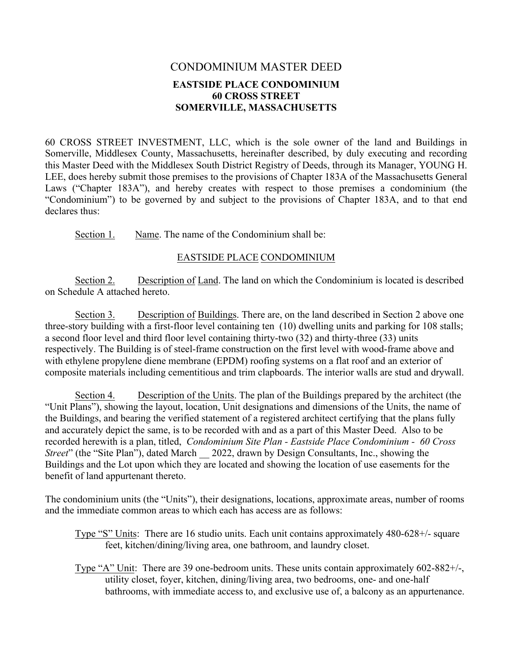## CONDOMINIUM MASTER DEED **EASTSIDE PLACE CONDOMINIUM 60 CROSS STREET SOMERVILLE, MASSACHUSETTS**

60 CROSS STREET INVESTMENT, LLC, which is the sole owner of the land and Buildings in Somerville, Middlesex County, Massachusetts, hereinafter described, by duly executing and recording this Master Deed with the Middlesex South District Registry of Deeds, through its Manager, YOUNG H. LEE, does hereby submit those premises to the provisions of Chapter 183A of the Massachusetts General Laws ("Chapter 183A"), and hereby creates with respect to those premises a condominium (the "Condominium") to be governed by and subject to the provisions of Chapter 183A, and to that end declares thus:

Section 1. Name. The name of the Condominium shall be:

### EASTSIDE PLACE CONDOMINIUM

Section 2. Description of Land. The land on which the Condominium is located is described on Schedule A attached hereto.

Section 3. Description of Buildings. There are, on the land described in Section 2 above one three-story building with a first-floor level containing ten (10) dwelling units and parking for 108 stalls; a second floor level and third floor level containing thirty-two (32) and thirty-three (33) units respectively. The Building is of steel-frame construction on the first level with wood-frame above and with ethylene propylene diene membrane (EPDM) roofing systems on a flat roof and an exterior of composite materials including cementitious and trim clapboards. The interior walls are stud and drywall.

Section 4. Description of the Units. The plan of the Buildings prepared by the architect (the "Unit Plans"), showing the layout, location, Unit designations and dimensions of the Units, the name of the Buildings, and bearing the verified statement of a registered architect certifying that the plans fully and accurately depict the same, is to be recorded with and as a part of this Master Deed. Also to be recorded herewith is a plan, titled, *Condominium Site Plan - Eastside Place Condominium - 60 Cross Street*" (the "Site Plan"), dated March  $\qquad$  2022, drawn by Design Consultants, Inc., showing the Buildings and the Lot upon which they are located and showing the location of use easements for the benefit of land appurtenant thereto.

The condominium units (the "Units"), their designations, locations, approximate areas, number of rooms and the immediate common areas to which each has access are as follows:

- Type "S" Units: There are 16 studio units. Each unit contains approximately 480-628+/- square feet, kitchen/dining/living area, one bathroom, and laundry closet.
- Type "A" Unit: There are 39 one-bedroom units. These units contain approximately 602-882+/-, utility closet, foyer, kitchen, dining/living area, two bedrooms, one- and one-half bathrooms, with immediate access to, and exclusive use of, a balcony as an appurtenance.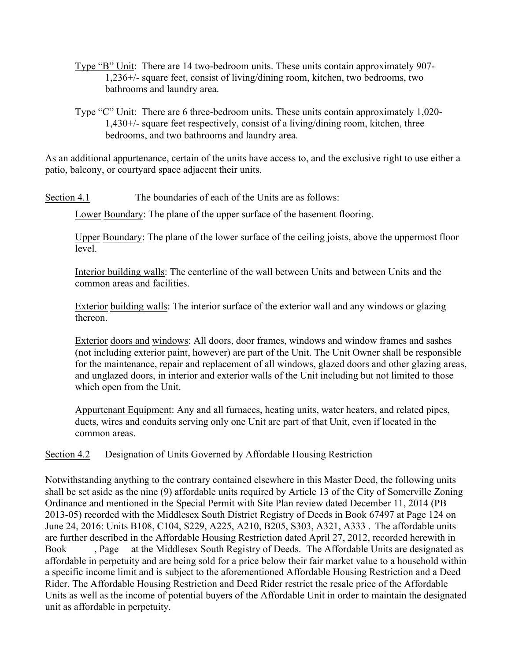- Type "B" Unit: There are 14 two-bedroom units. These units contain approximately 907- 1,236+/- square feet, consist of living/dining room, kitchen, two bedrooms, two bathrooms and laundry area.
- Type "C" Unit: There are 6 three-bedroom units. These units contain approximately 1,020- 1,430+/- square feet respectively, consist of a living/dining room, kitchen, three bedrooms, and two bathrooms and laundry area.

As an additional appurtenance, certain of the units have access to, and the exclusive right to use either a patio, balcony, or courtyard space adjacent their units.

Section 4.1 The boundaries of each of the Units are as follows:

Lower Boundary: The plane of the upper surface of the basement flooring.

Upper Boundary: The plane of the lower surface of the ceiling joists, above the uppermost floor level.

Interior building walls: The centerline of the wall between Units and between Units and the common areas and facilities.

Exterior building walls: The interior surface of the exterior wall and any windows or glazing thereon.

Exterior doors and windows: All doors, door frames, windows and window frames and sashes (not including exterior paint, however) are part of the Unit. The Unit Owner shall be responsible for the maintenance, repair and replacement of all windows, glazed doors and other glazing areas, and unglazed doors, in interior and exterior walls of the Unit including but not limited to those which open from the Unit.

Appurtenant Equipment: Any and all furnaces, heating units, water heaters, and related pipes, ducts, wires and conduits serving only one Unit are part of that Unit, even if located in the common areas.

Section 4.2 Designation of Units Governed by Affordable Housing Restriction

Notwithstanding anything to the contrary contained elsewhere in this Master Deed, the following units shall be set aside as the nine (9) affordable units required by Article 13 of the City of Somerville Zoning Ordinance and mentioned in the Special Permit with Site Plan review dated December 11, 2014 (PB 2013-05) recorded with the Middlesex South District Registry of Deeds in Book 67497 at Page 124 on June 24, 2016: Units B108, C104, S229, A225, A210, B205, S303, A321, A333 .The affordable units are further described in the Affordable Housing Restriction dated April 27, 2012, recorded herewith in Book , Page at the Middlesex South Registry of Deeds. The Affordable Units are designated as affordable in perpetuity and are being sold for a price below their fair market value to a household within a specific income limit and is subject to the aforementioned Affordable Housing Restriction and a Deed Rider. The Affordable Housing Restriction and Deed Rider restrict the resale price of the Affordable Units as well as the income of potential buyers of the Affordable Unit in order to maintain the designated unit as affordable in perpetuity.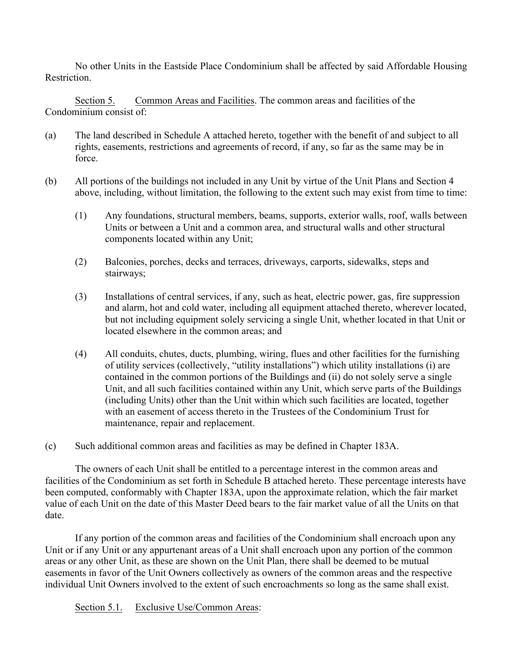No other Units in the Eastside Place Condominium shall be affected by said Affordable Housing **Restriction** 

Section 5. Common Areas and Facilities. The common areas and facilities of the Condominium consist of:

- (a) The land described in Schedule A attached hereto, together with the benefit of and subject to all rights, easements, restrictions and agreements of record, if any, so far as the same may be in force.
- (b) All portions of the buildings not included in any Unit by virtue of the Unit Plans and Section 4 above, including, without limitation, the following to the extent such may exist from time to time:
	- (1) Any foundations, structural members, beams, supports, exterior walls, roof, walls between Units or between a Unit and a common area, and structural walls and other structural components located within any Unit;
	- (2) Balconies, porches, decks and terraces, driveways, carports, sidewalks, steps and stairways;
	- (3) Installations of central services, if any, such as heat, electric power, gas, fire suppression and alarm, hot and cold water, including all equipment attached thereto, wherever located, but not including equipment solely servicing a single Unit, whether located in that Unit or located elsewhere in the common areas; and
	- (4) All conduits, chutes, ducts, plumbing, wiring, flues and other facilities for the furnishing of utility services (collectively, "utility installations") which utility installations (i) are contained in the common portions of the Buildings and (ii) do not solely serve a single Unit, and all such facilities contained within any Unit, which serve parts of the Buildings (including Units) other than the Unit within which such facilities are located, together with an easement of access thereto in the Trustees of the Condominium Trust for maintenance, repair and replacement.
- (c) Such additional common areas and facilities as may be defined in Chapter 183A.

The owners of each Unit shall be entitled to a percentage interest in the common areas and facilities of the Condominium as set forth in Schedule B attached hereto. These percentage interests have been computed, conformably with Chapter 183A, upon the approximate relation, which the fair market value of each Unit on the date of this Master Deed bears to the fair market value of all the Units on that date.

If any portion of the common areas and facilities of the Condominium shall encroach upon any Unit or if any Unit or any appurtenant areas of a Unit shall encroach upon any portion of the common areas or any other Unit, as these are shown on the Unit Plan, there shall be deemed to be mutual easements in favor of the Unit Owners collectively as owners of the common areas and the respective individual Unit Owners involved to the extent of such encroachments so long as the same shall exist.

Section 5.1. Exclusive Use/Common Areas: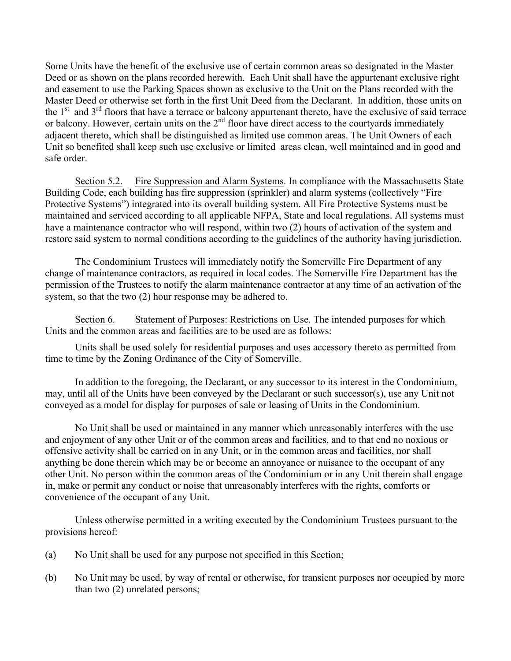Some Units have the benefit of the exclusive use of certain common areas so designated in the Master Deed or as shown on the plans recorded herewith. Each Unit shall have the appurtenant exclusive right and easement to use the Parking Spaces shown as exclusive to the Unit on the Plans recorded with the Master Deed or otherwise set forth in the first Unit Deed from the Declarant. In addition, those units on the  $1<sup>st</sup>$  and  $3<sup>rd</sup>$  floors that have a terrace or balcony appurtenant thereto, have the exclusive of said terrace or balcony. However, certain units on the  $2<sup>nd</sup>$  floor have direct access to the courtyards immediately adjacent thereto, which shall be distinguished as limited use common areas. The Unit Owners of each Unit so benefited shall keep such use exclusive or limited areas clean, well maintained and in good and safe order.

Section 5.2. Fire Suppression and Alarm Systems. In compliance with the Massachusetts State Building Code, each building has fire suppression (sprinkler) and alarm systems (collectively "Fire Protective Systems") integrated into its overall building system. All Fire Protective Systems must be maintained and serviced according to all applicable NFPA, State and local regulations. All systems must have a maintenance contractor who will respond, within two (2) hours of activation of the system and restore said system to normal conditions according to the guidelines of the authority having jurisdiction.

The Condominium Trustees will immediately notify the Somerville Fire Department of any change of maintenance contractors, as required in local codes. The Somerville Fire Department has the permission of the Trustees to notify the alarm maintenance contractor at any time of an activation of the system, so that the two (2) hour response may be adhered to.

Section 6. Statement of Purposes: Restrictions on Use. The intended purposes for which Units and the common areas and facilities are to be used are as follows:

Units shall be used solely for residential purposes and uses accessory thereto as permitted from time to time by the Zoning Ordinance of the City of Somerville.

In addition to the foregoing, the Declarant, or any successor to its interest in the Condominium, may, until all of the Units have been conveyed by the Declarant or such successor(s), use any Unit not conveyed as a model for display for purposes of sale or leasing of Units in the Condominium.

No Unit shall be used or maintained in any manner which unreasonably interferes with the use and enjoyment of any other Unit or of the common areas and facilities, and to that end no noxious or offensive activity shall be carried on in any Unit, or in the common areas and facilities, nor shall anything be done therein which may be or become an annoyance or nuisance to the occupant of any other Unit. No person within the common areas of the Condominium or in any Unit therein shall engage in, make or permit any conduct or noise that unreasonably interferes with the rights, comforts or convenience of the occupant of any Unit.

Unless otherwise permitted in a writing executed by the Condominium Trustees pursuant to the provisions hereof:

- (a) No Unit shall be used for any purpose not specified in this Section;
- (b) No Unit may be used, by way of rental or otherwise, for transient purposes nor occupied by more than two (2) unrelated persons;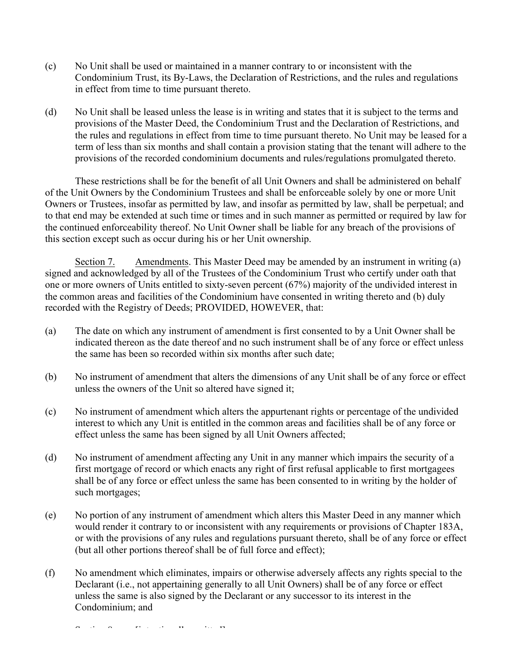- (c) No Unit shall be used or maintained in a manner contrary to or inconsistent with the Condominium Trust, its By-Laws, the Declaration of Restrictions, and the rules and regulations in effect from time to time pursuant thereto.
- (d) No Unit shall be leased unless the lease is in writing and states that it is subject to the terms and provisions of the Master Deed, the Condominium Trust and the Declaration of Restrictions, and the rules and regulations in effect from time to time pursuant thereto. No Unit may be leased for a term of less than six months and shall contain a provision stating that the tenant will adhere to the provisions of the recorded condominium documents and rules/regulations promulgated thereto.

These restrictions shall be for the benefit of all Unit Owners and shall be administered on behalf of the Unit Owners by the Condominium Trustees and shall be enforceable solely by one or more Unit Owners or Trustees, insofar as permitted by law, and insofar as permitted by law, shall be perpetual; and to that end may be extended at such time or times and in such manner as permitted or required by law for the continued enforceability thereof. No Unit Owner shall be liable for any breach of the provisions of this section except such as occur during his or her Unit ownership.

Section 7. Amendments. This Master Deed may be amended by an instrument in writing (a) signed and acknowledged by all of the Trustees of the Condominium Trust who certify under oath that one or more owners of Units entitled to sixty-seven percent (67%) majority of the undivided interest in the common areas and facilities of the Condominium have consented in writing thereto and (b) duly recorded with the Registry of Deeds; PROVIDED, HOWEVER, that:

- (a) The date on which any instrument of amendment is first consented to by a Unit Owner shall be indicated thereon as the date thereof and no such instrument shall be of any force or effect unless the same has been so recorded within six months after such date;
- (b) No instrument of amendment that alters the dimensions of any Unit shall be of any force or effect unless the owners of the Unit so altered have signed it;
- (c) No instrument of amendment which alters the appurtenant rights or percentage of the undivided interest to which any Unit is entitled in the common areas and facilities shall be of any force or effect unless the same has been signed by all Unit Owners affected;
- (d) No instrument of amendment affecting any Unit in any manner which impairs the security of a first mortgage of record or which enacts any right of first refusal applicable to first mortgagees shall be of any force or effect unless the same has been consented to in writing by the holder of such mortgages;
- (e) No portion of any instrument of amendment which alters this Master Deed in any manner which would render it contrary to or inconsistent with any requirements or provisions of Chapter 183A, or with the provisions of any rules and regulations pursuant thereto, shall be of any force or effect (but all other portions thereof shall be of full force and effect);
- (f) No amendment which eliminates, impairs or otherwise adversely affects any rights special to the Declarant (i.e., not appertaining generally to all Unit Owners) shall be of any force or effect unless the same is also signed by the Declarant or any successor to its interest in the Condominium; and

 $\hat{S}$  (section 8. [intentionally obtained]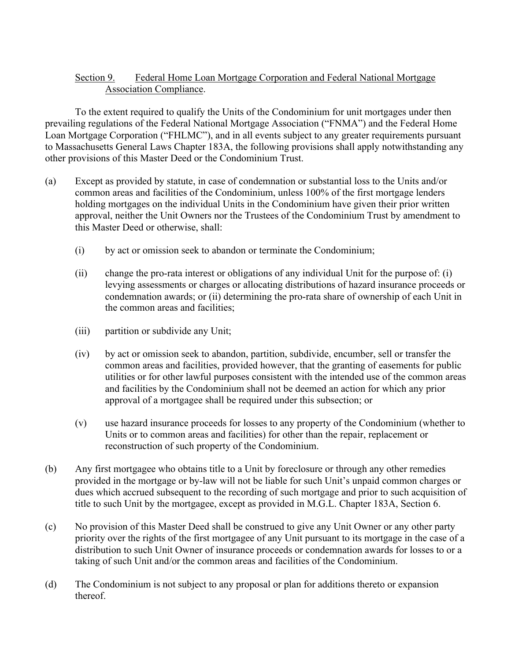## Section 9. Federal Home Loan Mortgage Corporation and Federal National Mortgage Association Compliance.

To the extent required to qualify the Units of the Condominium for unit mortgages under then prevailing regulations of the Federal National Mortgage Association ("FNMA") and the Federal Home Loan Mortgage Corporation ("FHLMC"), and in all events subject to any greater requirements pursuant to Massachusetts General Laws Chapter 183A, the following provisions shall apply notwithstanding any other provisions of this Master Deed or the Condominium Trust.

- (a) Except as provided by statute, in case of condemnation or substantial loss to the Units and/or common areas and facilities of the Condominium, unless 100% of the first mortgage lenders holding mortgages on the individual Units in the Condominium have given their prior written approval, neither the Unit Owners nor the Trustees of the Condominium Trust by amendment to this Master Deed or otherwise, shall:
	- (i) by act or omission seek to abandon or terminate the Condominium;
	- (ii) change the pro-rata interest or obligations of any individual Unit for the purpose of: (i) levying assessments or charges or allocating distributions of hazard insurance proceeds or condemnation awards; or (ii) determining the pro-rata share of ownership of each Unit in the common areas and facilities;
	- (iii) partition or subdivide any Unit;
	- (iv) by act or omission seek to abandon, partition, subdivide, encumber, sell or transfer the common areas and facilities, provided however, that the granting of easements for public utilities or for other lawful purposes consistent with the intended use of the common areas and facilities by the Condominium shall not be deemed an action for which any prior approval of a mortgagee shall be required under this subsection; or
	- (v) use hazard insurance proceeds for losses to any property of the Condominium (whether to Units or to common areas and facilities) for other than the repair, replacement or reconstruction of such property of the Condominium.
- (b) Any first mortgagee who obtains title to a Unit by foreclosure or through any other remedies provided in the mortgage or by-law will not be liable for such Unit's unpaid common charges or dues which accrued subsequent to the recording of such mortgage and prior to such acquisition of title to such Unit by the mortgagee, except as provided in M.G.L. Chapter 183A, Section 6.
- (c) No provision of this Master Deed shall be construed to give any Unit Owner or any other party priority over the rights of the first mortgagee of any Unit pursuant to its mortgage in the case of a distribution to such Unit Owner of insurance proceeds or condemnation awards for losses to or a taking of such Unit and/or the common areas and facilities of the Condominium.
- (d) The Condominium is not subject to any proposal or plan for additions thereto or expansion thereof.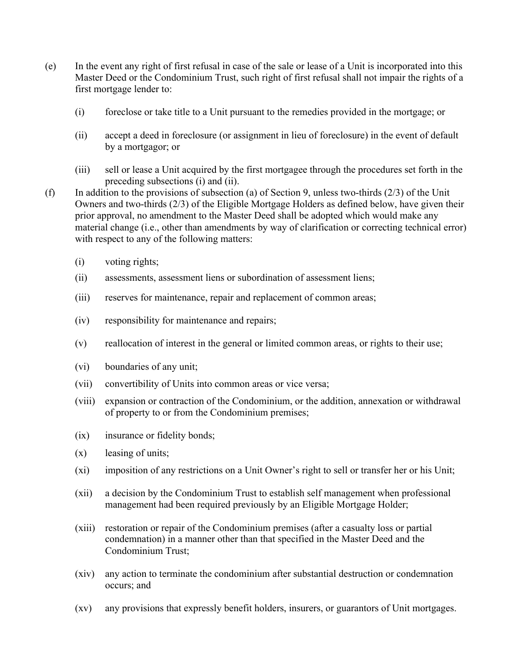- (e) In the event any right of first refusal in case of the sale or lease of a Unit is incorporated into this Master Deed or the Condominium Trust, such right of first refusal shall not impair the rights of a first mortgage lender to:
	- (i) foreclose or take title to a Unit pursuant to the remedies provided in the mortgage; or
	- (ii) accept a deed in foreclosure (or assignment in lieu of foreclosure) in the event of default by a mortgagor; or
	- (iii) sell or lease a Unit acquired by the first mortgagee through the procedures set forth in the preceding subsections (i) and (ii).
- (f) In addition to the provisions of subsection (a) of Section 9, unless two-thirds (2/3) of the Unit Owners and two-thirds (2/3) of the Eligible Mortgage Holders as defined below, have given their prior approval, no amendment to the Master Deed shall be adopted which would make any material change (i.e., other than amendments by way of clarification or correcting technical error) with respect to any of the following matters:
	- (i) voting rights;
	- (ii) assessments, assessment liens or subordination of assessment liens;
	- (iii) reserves for maintenance, repair and replacement of common areas;
	- (iv) responsibility for maintenance and repairs;
	- (v) reallocation of interest in the general or limited common areas, or rights to their use;
	- (vi) boundaries of any unit;
	- (vii) convertibility of Units into common areas or vice versa;
	- (viii) expansion or contraction of the Condominium, or the addition, annexation or withdrawal of property to or from the Condominium premises;
	- (ix) insurance or fidelity bonds;
	- (x) leasing of units;
	- (xi) imposition of any restrictions on a Unit Owner's right to sell or transfer her or his Unit;
	- (xii) a decision by the Condominium Trust to establish self management when professional management had been required previously by an Eligible Mortgage Holder;
	- (xiii) restoration or repair of the Condominium premises (after a casualty loss or partial condemnation) in a manner other than that specified in the Master Deed and the Condominium Trust;
	- (xiv) any action to terminate the condominium after substantial destruction or condemnation occurs; and
	- (xv) any provisions that expressly benefit holders, insurers, or guarantors of Unit mortgages.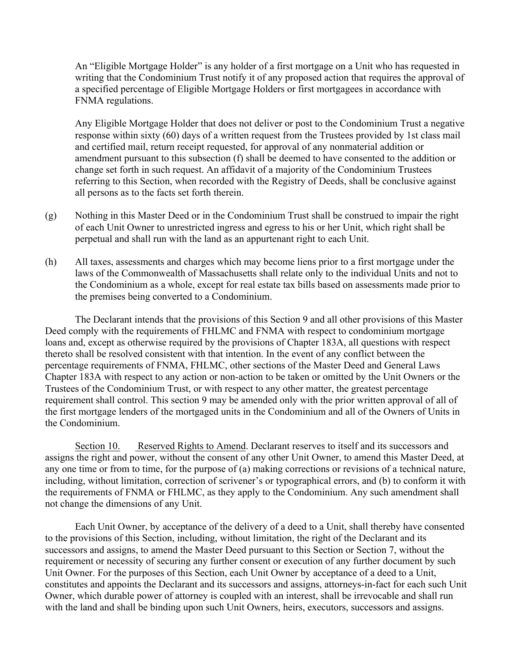An "Eligible Mortgage Holder" is any holder of a first mortgage on a Unit who has requested in writing that the Condominium Trust notify it of any proposed action that requires the approval of a specified percentage of Eligible Mortgage Holders or first mortgagees in accordance with FNMA regulations.

Any Eligible Mortgage Holder that does not deliver or post to the Condominium Trust a negative response within sixty (60) days of a written request from the Trustees provided by 1st class mail and certified mail, return receipt requested, for approval of any nonmaterial addition or amendment pursuant to this subsection (f) shall be deemed to have consented to the addition or change set forth in such request. An affidavit of a majority of the Condominium Trustees referring to this Section, when recorded with the Registry of Deeds, shall be conclusive against all persons as to the facts set forth therein.

- (g) Nothing in this Master Deed or in the Condominium Trust shall be construed to impair the right of each Unit Owner to unrestricted ingress and egress to his or her Unit, which right shall be perpetual and shall run with the land as an appurtenant right to each Unit.
- (h) All taxes, assessments and charges which may become liens prior to a first mortgage under the laws of the Commonwealth of Massachusetts shall relate only to the individual Units and not to the Condominium as a whole, except for real estate tax bills based on assessments made prior to the premises being converted to a Condominium.

The Declarant intends that the provisions of this Section 9 and all other provisions of this Master Deed comply with the requirements of FHLMC and FNMA with respect to condominium mortgage loans and, except as otherwise required by the provisions of Chapter 183A, all questions with respect thereto shall be resolved consistent with that intention. In the event of any conflict between the percentage requirements of FNMA, FHLMC, other sections of the Master Deed and General Laws Chapter 183A with respect to any action or non-action to be taken or omitted by the Unit Owners or the Trustees of the Condominium Trust, or with respect to any other matter, the greatest percentage requirement shall control. This section 9 may be amended only with the prior written approval of all of the first mortgage lenders of the mortgaged units in the Condominium and all of the Owners of Units in the Condominium.

Section 10. Reserved Rights to Amend. Declarant reserves to itself and its successors and assigns the right and power, without the consent of any other Unit Owner, to amend this Master Deed, at any one time or from to time, for the purpose of (a) making corrections or revisions of a technical nature, including, without limitation, correction of scrivener's or typographical errors, and (b) to conform it with the requirements of FNMA or FHLMC, as they apply to the Condominium. Any such amendment shall not change the dimensions of any Unit.

Each Unit Owner, by acceptance of the delivery of a deed to a Unit, shall thereby have consented to the provisions of this Section, including, without limitation, the right of the Declarant and its successors and assigns, to amend the Master Deed pursuant to this Section or Section 7, without the requirement or necessity of securing any further consent or execution of any further document by such Unit Owner. For the purposes of this Section, each Unit Owner by acceptance of a deed to a Unit, constitutes and appoints the Declarant and its successors and assigns, attorneys-in-fact for each such Unit Owner, which durable power of attorney is coupled with an interest, shall be irrevocable and shall run with the land and shall be binding upon such Unit Owners, heirs, executors, successors and assigns.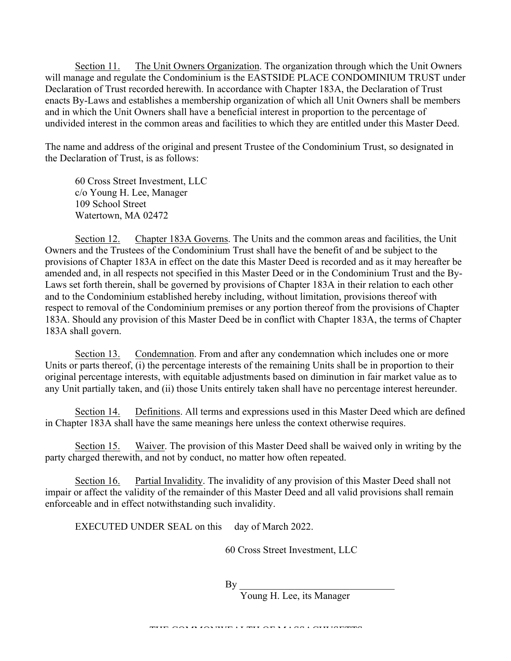Section 11. The Unit Owners Organization. The organization through which the Unit Owners will manage and regulate the Condominium is the EASTSIDE PLACE CONDOMINIUM TRUST under Declaration of Trust recorded herewith. In accordance with Chapter 183A, the Declaration of Trust enacts By-Laws and establishes a membership organization of which all Unit Owners shall be members and in which the Unit Owners shall have a beneficial interest in proportion to the percentage of undivided interest in the common areas and facilities to which they are entitled under this Master Deed.

The name and address of the original and present Trustee of the Condominium Trust, so designated in the Declaration of Trust, is as follows:

60 Cross Street Investment, LLC c/o Young H. Lee, Manager 109 School Street Watertown, MA 02472

Section 12. Chapter 183A Governs. The Units and the common areas and facilities, the Unit Owners and the Trustees of the Condominium Trust shall have the benefit of and be subject to the provisions of Chapter 183A in effect on the date this Master Deed is recorded and as it may hereafter be amended and, in all respects not specified in this Master Deed or in the Condominium Trust and the By-Laws set forth therein, shall be governed by provisions of Chapter 183A in their relation to each other and to the Condominium established hereby including, without limitation, provisions thereof with respect to removal of the Condominium premises or any portion thereof from the provisions of Chapter 183A. Should any provision of this Master Deed be in conflict with Chapter 183A, the terms of Chapter 183A shall govern.

Section 13. Condemnation. From and after any condemnation which includes one or more Units or parts thereof, (i) the percentage interests of the remaining Units shall be in proportion to their original percentage interests, with equitable adjustments based on diminution in fair market value as to any Unit partially taken, and (ii) those Units entirely taken shall have no percentage interest hereunder.

Section 14. Definitions. All terms and expressions used in this Master Deed which are defined in Chapter 183A shall have the same meanings here unless the context otherwise requires.

Section 15. Waiver. The provision of this Master Deed shall be waived only in writing by the party charged therewith, and not by conduct, no matter how often repeated.

Section 16. Partial Invalidity. The invalidity of any provision of this Master Deed shall not impair or affect the validity of the remainder of this Master Deed and all valid provisions shall remain enforceable and in effect notwithstanding such invalidity.

EXECUTED UNDER SEAL on this day of March 2022.

60 Cross Street Investment, LLC

 $\mathbf{By}$ 

Young H. Lee, its Manager

THE COMMONWEALTH OF MASSACHUSETTS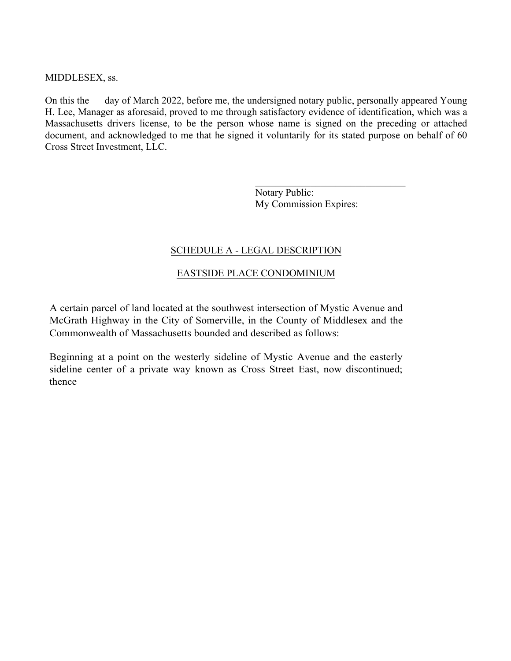#### MIDDLESEX, ss.

On this the day of March 2022, before me, the undersigned notary public, personally appeared Young H. Lee, Manager as aforesaid, proved to me through satisfactory evidence of identification, which was a Massachusetts drivers license, to be the person whose name is signed on the preceding or attached document, and acknowledged to me that he signed it voluntarily for its stated purpose on behalf of 60 Cross Street Investment, LLC.

> Notary Public: My Commission Expires:

 $\mathcal{L}_\text{max}$  , where  $\mathcal{L}_\text{max}$  and  $\mathcal{L}_\text{max}$  and  $\mathcal{L}_\text{max}$ 

## SCHEDULE A - LEGAL DESCRIPTION

## EASTSIDE PLACE CONDOMINIUM

A certain parcel of land located at the southwest intersection of Mystic Avenue and McGrath Highway in the City of Somerville, in the County of Middlesex and the Commonwealth of Massachusetts bounded and described as follows:

Beginning at a point on the westerly sideline of Mystic Avenue and the easterly sideline center of a private way known as Cross Street East, now discontinued; thence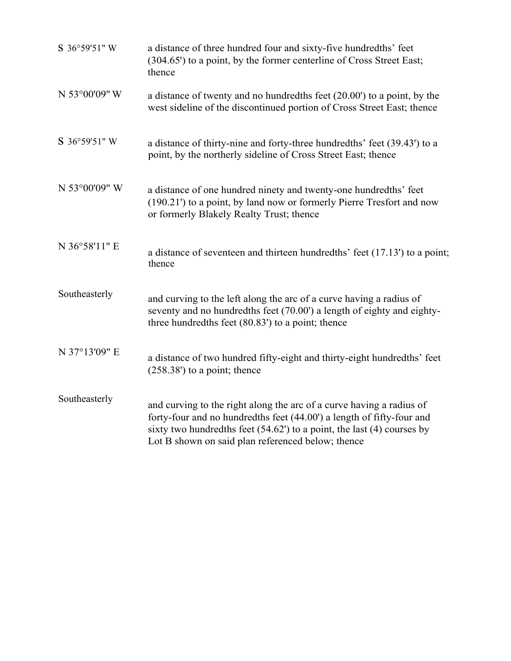| S 36°59'51" W | a distance of three hundred four and sixty-five hundredths' feet<br>(304.65') to a point, by the former centerline of Cross Street East;<br>thence                                                                                                                              |
|---------------|---------------------------------------------------------------------------------------------------------------------------------------------------------------------------------------------------------------------------------------------------------------------------------|
| N 53°00'09" W | a distance of twenty and no hundredths feet (20.00') to a point, by the<br>west sideline of the discontinued portion of Cross Street East; thence                                                                                                                               |
| S 36°59'51" W | a distance of thirty-nine and forty-three hundredths' feet (39.43') to a<br>point, by the northerly sideline of Cross Street East; thence                                                                                                                                       |
| N 53°00'09" W | a distance of one hundred ninety and twenty-one hundredths' feet<br>(190.21') to a point, by land now or formerly Pierre Tresfort and now<br>or formerly Blakely Realty Trust; thence                                                                                           |
| N 36°58'11" E | a distance of seventeen and thirteen hundredths' feet (17.13') to a point;<br>thence                                                                                                                                                                                            |
| Southeasterly | and curving to the left along the arc of a curve having a radius of<br>seventy and no hundredths feet (70.00') a length of eighty and eighty-<br>three hundredths feet $(80.83')$ to a point; thence                                                                            |
| N 37°13'09" E | a distance of two hundred fifty-eight and thirty-eight hundredths' feet<br>$(258.38')$ to a point; thence                                                                                                                                                                       |
| Southeasterly | and curving to the right along the arc of a curve having a radius of<br>forty-four and no hundredths feet (44.00') a length of fifty-four and<br>sixty two hundredths feet $(54.62)$ to a point, the last $(4)$ courses by<br>Lot B shown on said plan referenced below; thence |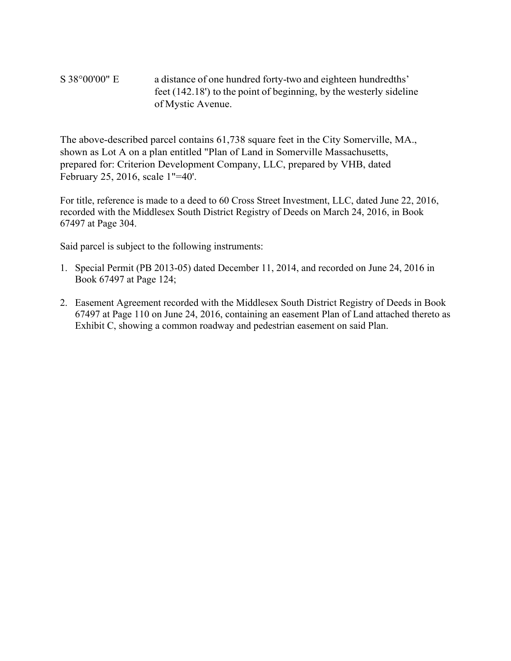S 38°00'00" E a distance of one hundred forty-two and eighteen hundredths' feet (142.18') to the point of beginning, by the westerly sideline of Mystic Avenue.

The above-described parcel contains 61,738 square feet in the City Somerville, MA., shown as Lot A on a plan entitled "Plan of Land in Somerville Massachusetts, prepared for: Criterion Development Company, LLC, prepared by VHB, dated February 25, 2016, scale 1"=40'.

For title, reference is made to a deed to 60 Cross Street Investment, LLC, dated June 22, 2016, recorded with the Middlesex South District Registry of Deeds on March 24, 2016, in Book 67497 at Page 304.

Said parcel is subject to the following instruments:

- 1. Special Permit (PB 2013-05) dated December 11, 2014, and recorded on June 24, 2016 in Book 67497 at Page 124;
- 2. Easement Agreement recorded with the Middlesex South District Registry of Deeds in Book 67497 at Page 110 on June 24, 2016, containing an easement Plan of Land attached thereto as Exhibit C, showing a common roadway and pedestrian easement on said Plan.